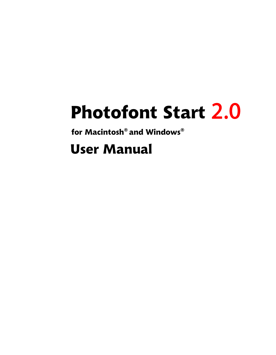# Photofont Start 2.0

for Macintosh® and Windows®

User Manual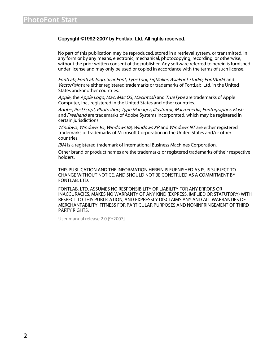#### Copyright ©1992-2007 by Fontlab, Ltd. All rights reserved.

No part of this publication may be reproduced, stored in a retrieval system, or transmitted, in any form or by any means, electronic, mechanical, photocopying, recording, or otherwise, without the prior written consent of the publisher. Any software referred to herein is furnished under license and may only be used or copied in accordance with the terms of such license.

FontLab, FontLab logo, ScanFont, TypeTool, SigMaker, AsiaFont Studio, FontAudit and VectorPaint are either registered trademarks or trademarks of FontLab, Ltd. in the United States and/or other countries.

Apple, the Apple Logo, Mac, Mac OS, Macintosh and TrueType are trademarks of Apple Computer, Inc., registered in the United States and other countries.

Adobe, PostScript, Photoshop, Type Manager, Illustrator, Macromedia, Fontographer, Flash and Freehand are trademarks of Adobe Systems Incorporated, which may be registered in certain jurisdictions.

Windows, Windows 95, Windows 98, Windows XP and Windows NT are either registered trademarks or trademarks of Microsoft Corporation in the United States and/or other countries.

IBM is a registered trademark of International Business Machines Corporation.

Other brand or product names are the trademarks or registered trademarks of their respective holders.

THIS PUBLICATION AND THE INFORMATION HEREIN IS FURNISHED AS IS, IS SUBJECT TO CHANGE WITHOUT NOTICE, AND SHOULD NOT BE CONSTRUED AS A COMMITMENT BY FONTLAB, LTD.

FONTLAB, LTD. ASSUMES NO RESPONSIBILITY OR LIABILITY FOR ANY ERRORS OR INACCURACIES, MAKES NO WARRANTY OF ANY KIND (EXPRESS, IMPLIED OR STATUTORY) WITH RESPECT TO THIS PUBLICATION, AND EXPRESSLY DISCLAIMS ANY AND ALL WARRANTIES OF MERCHANTABILITY, FITNESS FOR PARTICULAR PURPOSES AND NONINFRINGEMENT OF THIRD PARTY RIGHTS.

User manual release 2.0 [9/2007]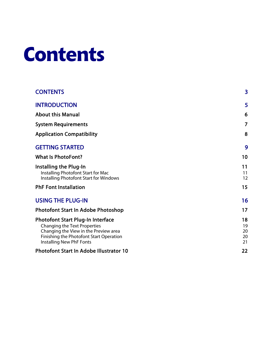# **Contents**

| <b>CONTENTS</b>                                                                                                                                                                          | 3                          |
|------------------------------------------------------------------------------------------------------------------------------------------------------------------------------------------|----------------------------|
| <b>INTRODUCTION</b>                                                                                                                                                                      | 5                          |
| <b>About this Manual</b>                                                                                                                                                                 | 6                          |
| <b>System Requirements</b>                                                                                                                                                               | 7                          |
| <b>Application Compatibility</b>                                                                                                                                                         | 8                          |
| <b>GETTING STARTED</b>                                                                                                                                                                   | 9                          |
| <b>What Is PhotoFont?</b>                                                                                                                                                                | 10                         |
| <b>Installing the Plug-In</b><br>Installing Photofont Start for Mac<br>Installing Photofont Start for Windows                                                                            | 11<br>11<br>12             |
| <b>PhF Font Installation</b>                                                                                                                                                             | 15                         |
| <b>USING THE PLUG-IN</b>                                                                                                                                                                 | 16                         |
| <b>Photofont Start In Adobe Photoshop</b>                                                                                                                                                | 17                         |
| <b>Photofont Start Plug-In Interface</b><br>Changing the Text Properties<br>Changing the View in the Preview area<br>Finishing the Photofont Start Operation<br>Installing New PhF Fonts | 18<br>19<br>20<br>20<br>21 |
| <b>Photofont Start In Adobe Illustrator 10</b>                                                                                                                                           | 22                         |
|                                                                                                                                                                                          |                            |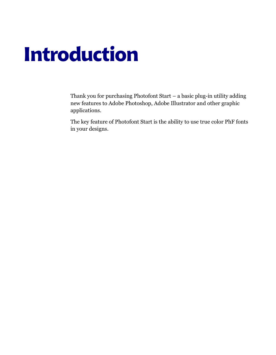# Introduction

Thank you for purchasing Photofont Start – a basic plug-in utility adding new features to Adobe Photoshop, Adobe Illustrator and other graphic applications.

The key feature of Photofont Start is the ability to use true color PhF fonts in your designs.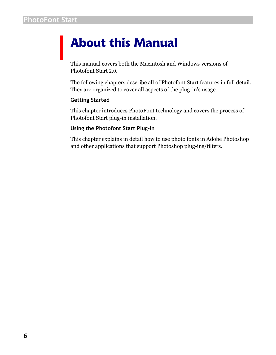## About this Manual

This manual covers both the Macintosh and Windows versions of Photofont Start 2.0.

The following chapters describe all of Photofont Start features in full detail. They are organized to cover all aspects of the plug-in's usage.

#### **Getting Started**

This chapter introduces PhotoFont technology and covers the process of Photofont Start plug-in installation.

#### **Using the Photofont Start Plug-In**

This chapter explains in detail how to use photo fonts in Adobe Photoshop and other applications that support Photoshop plug-ins/filters.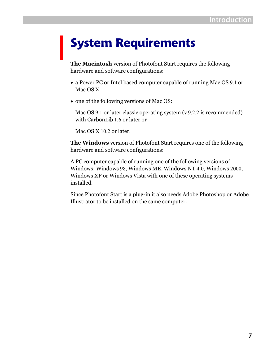## System Requirements

**The Macintosh** version of Photofont Start requires the following hardware and software configurations:

- a Power PC or Intel based computer capable of running Mac OS 9.1 or Mac OS X
- one of the following versions of Mac OS:

Mac OS 9.1 or later classic operating system (v 9.2.2 is recommended) with CarbonLib 1.6 or later or

Mac OS X 10.2 or later.

**The Windows** version of Photofont Start requires one of the following hardware and software configurations:

A PC computer capable of running one of the following versions of Windows: Windows 98, Windows ME, Windows NT 4.0, Windows 2000, Windows XP or Windows Vista with one of these operating systems installed.

Since Photofont Start is a plug-in it also needs Adobe Photoshop or Adobe Illustrator to be installed on the same computer.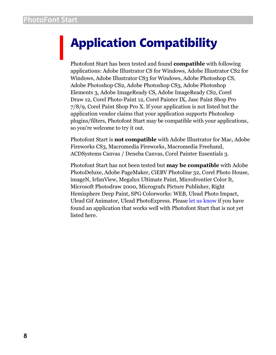# Application Compatibility

Photofont Start has been tested and found **compatible** with following applications: Adobe Illustrator CS for Windows, Adobe Illustrator CS2 for Windows, Adobe Illustrator CS3 for Windows, Adobe Photoshop CS, Adobe Photoshop CS2, Adobe Photoshop CS3, Adobe Photoshop Elements 3, Adobe ImageReady CS, Adobe ImageReady CS2, Corel Draw 12, Corel Photo-Paint 12, Corel Painter IX, Jasc Paint Shop Pro 7/8/9, Corel Paint Shop Pro X. If your application is not listed but the application vendor claims that your application supports Photoshop plugins/filters, Photofont Start may be compatible with your applications, so you're welcome to try it out.

Photofont Start is **not compatible** with Adobe Illustrator for Mac, Adobe Fireworks CS3, Macromedia Fireworks, Macromedia Freehand, ACDSystems Canvas / Deneba Canvas, Corel Painter Essentials 3.

Photofont Start has not been tested but **may be compatible** with Adobe PhotoDeluxe, Adobe PageMaker, CiEBV Photoline 32, Corel Photo House, imageN, IrfanView, Megalux Ultimate Paint, Microfrontier Color It, Microsoft Photodraw 2000, Micrografx Picture Publisher, Right Hemisphere Deep Paint, SPG Colorworks: WEB, Ulead Photo Impact, Ulead Gif Animator, Ulead PhotoExpress. Please [let us know](http://www.fontlab.com/support/problem/) if you have found an application that works well with Photofont Start that is not yet listed here.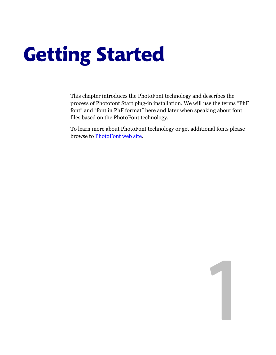# Getting Started

This chapter introduces the PhotoFont technology and describes the process of Photofont Start plug-in installation. We will use the terms "PhF font" and "font in PhF format" here and later when speaking about font files based on the PhotoFont technology.

To learn more about PhotoFont technology or get additional fonts please browse to [PhotoFont web site.](http://www.photofont.com/)

1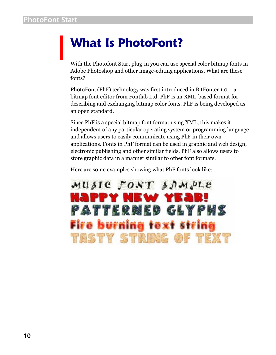## What Is PhotoFont?

With the Photofont Start plug-in you can use special color bitmap fonts in Adobe Photoshop and other image-editing applications. What are these fonts?

PhotoFont (PhF) technology was first introduced in BitFonter  $1.0 - a$ bitmap font editor from Fontlab Ltd. PhF is an XML-based format for describing and exchanging bitmap color fonts. PhF is being developed as an open standard.

Since PhF is a special bitmap font format using XML, this makes it independent of any particular operating system or programming language, and allows users to easily communicate using PhF in their own applications. Fonts in PhF format can be used in graphic and web design, electronic publishing and other similar fields. PhF also allows users to store graphic data in a manner similar to other font formats.

Here are some examples showing what PhF fonts look like:

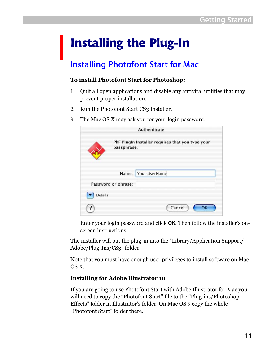## Installing the Plug-In

### Installing Photofont Start for Mac

#### **To install Photofont Start for Photoshop:**

- 1. Quit all open applications and disable any antiviral utilities that may prevent proper installation.
- 2. Run the Photofont Start CS3 Installer.
- 3. The Mac OS X may ask you for your login password:

|                     | Authenticate                                     |
|---------------------|--------------------------------------------------|
| passphrase.         | PhF PlugIn Installer requires that you type your |
|                     | Name: Your UserName                              |
| Password or phrase: |                                                  |
| Details             |                                                  |
|                     | Cancel<br>OK                                     |

Enter your login password and click **OK**. Then follow the installer's onscreen instructions.

The installer will put the plug-in into the "Library/Application Support/ Adobe/Plug-Ins/CS3" folder.

Note that you must have enough user privileges to install software on Mac OS X.

#### **Installing for Adobe Illustrator 10**

If you are going to use Photofont Start with Adobe Illustrator for Mac you will need to copy the "Photofont Start" file to the "Plug-ins/Photoshop Effects" folder in Illustrator's folder. On Mac OS 9 copy the whole "Photofont Start" folder there.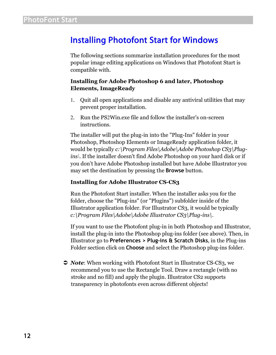### Installing Photofont Start for Windows

The following sections summarize installation procedures for the most popular image editing applications on Windows that Photofont Start is compatible with.

#### **Installing for Adobe Photoshop 6 and later, Photoshop Elements, ImageReady**

- 1. Quit all open applications and disable any antiviral utilities that may prevent proper installation.
- 2. Run the PS2Win.exe file and follow the installer's on-screen instructions.

The installer will put the plug-in into the "Plug-Ins" folder in your Photoshop, Photoshop Elements or ImageReady application folder, it would be typically *c:\Program Files\Adobe\Adobe Photoshop CS3\Plugins\*. If the installer doesn't find Adobe Photoshop on your hard disk or if you don't have Adobe Photoshop installed but have Adobe Illustrator you may set the destination by pressing the **Browse** button.

#### **Installing for Adobe Illustrator CS-CS3**

Run the Photofont Start installer. When the installer asks you for the folder, choose the "Plug-in*s*" (or "Plugins") subfolder inside of the Illustrator application folder. For Illustrator CS3, it would be typically *c:\Program Files\Adobe\Adobe Illustrator CS3\Plug-ins\*.

If you want to use the Photofont plug-in in both Photoshop and Illustrator, install the plug-in into the Photoshop plug-ins folder (see above). Then, in Illustrator go to **Preferences > Plug-ins & Scratch Disks**, in the Plug-ins Folder section click on **Choose** and select the Photoshop plug-ins folder.

**→** *Note*: When working with Photofont Start in Illustrator CS-CS<sub>3</sub>, we recommend you to use the Rectangle Tool. Draw a rectangle (with no stroke and no fill) and apply the plugin. Illustrator CS2 supports transparency in photofonts even across different objects!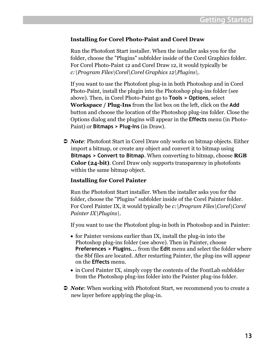#### <span id="page-12-0"></span>**Installing for Corel Photo-Paint and Corel Draw**

Run the Photofont Start installer. When the installer asks you for the folder, choose the "Plugins" subfolder inside of the Corel Graphics folder. For Corel Photo-Paint 12 and Corel Draw 12, it would typically be *c:\Program Files\Corel\Corel Graphics 12\Plugins\*.

If you want to use the Photofont plug-in in both Photoshop and in Corel Photo-Paint, install the plugin into the Photoshop plug-ins folder (see above). Then, in Corel Photo-Paint go to **Tools > Options**, select **Workspace / Plug-Ins** from the list box on the left, click on the **Add** button and choose the location of the Photoshop plug-ins folder. Close the Options dialog and the plugins will appear in the **Effects** menu (in Photo-Paint) or **Bitmaps > Plug-Ins** (in Draw).

**→** *Note*: Photofont Start in Corel Draw only works on bitmap objects. Either import a bitmap, or create any object and convert it to bitmap using **Bitmaps > Convert to Bitmap**. When converting to bitmap, choose **RGB Color (24-bit)**. Corel Draw only supports transparency in photofonts within the same bitmap object.

#### **Installing for Corel Painter**

Run the Photofont Start installer. When the installer asks you for the folder, choose the "Plugins" subfolder inside of the Corel Painter folder. For Corel Painter IX, it would typically be *c:\Program Files\Corel\Corel Painter IX\Plugins\*.

If you want to use the Photofont plug-in both in Photoshop and in Painter:

- for Painter versions earlier than IX, install the plug-in into the Photoshop plug-ins folder (see above). Then in Painter, choose **Preferences > Plugins...** from the **Edit** menu and select the folder where the 8bf files are located. After restarting Painter, the plug-ins will appear on the **Effects** menu.
- in Corel Painter IX, simply copy the contents of the FontLab subfolder from the Photoshop plug-ins folder into the Painter plug-ins folder.
- **→** *Note***:** When working with Photofont Start, we recommend you to create a new layer before applying the plug-in.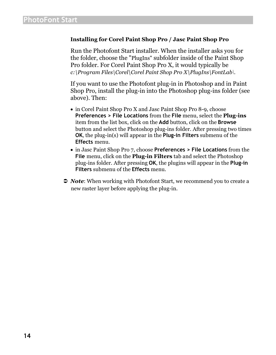#### **Installing for Corel Paint Shop Pro / Jasc Paint Shop Pro**

Run the Photofont Start installer. When the installer asks you for the folder, choose the "PlugIns" subfolder inside of the Paint Shop Pro folder. For Corel Paint Shop Pro X, it would typically be *c:\Program Files\Corel\Corel Paint Shop Pro X\PlugIns\FontLab\*.

If you want to use the Photofont plug-in in Photoshop and in Paint Shop Pro, install the plug-in into the Photoshop plug-ins folder (see above). Then:

- in Corel Paint Shop Pro X and Jasc Paint Shop Pro 8-9, choose **Preferences > File Locations** from the **File** menu, select the **Plug-ins** item from the list box, click on the **Add** button, click on the **Browse** button and select the Photoshop plug-ins folder. After pressing two times **OK**, the plug-in(s) will appear in the **Plug-in Filters** submenu of the **Effects** menu.
- in Jasc Paint Shop Pro 7, choose **Preferences > File Locations** from the **File** menu, click on the **Plug-in Filters** tab and select the Photoshop plug-ins folder. After pressing **OK**, the plugins will appear in the **Plug-in Filters** submenu of the **Effects** menu.
- **→** *Note*: When working with Photofont Start, we recommend you to create a new raster layer before applying the plug-in.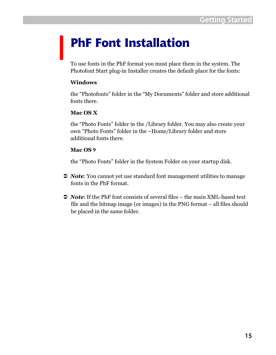## PhF Font Installation

To use fonts in the PhF format you must place them in the system. The Photofont Start plug-in Installer creates the default place for the fonts:

#### **Windows**

the "Photofonts" folder in the "My Documents" folder and store additional fonts there.

#### **Mac OS X**

the "Photo Fonts" folder in the /Library folder. You may also create your own "Photo Fonts" folder in the ~Home/Library folder and store additional fonts there.

#### **Mac OS 9**

the "Photo Fonts" folder in the System Folder on your startup disk.

- **→** *Note*: You cannot yet use standard font management utilities to manage fonts in the PhF format.
- *Note*: If the PhF font consists of several files the main XML-based text file and the bitmap image (or images) in the PNG format – all files should be placed in the same folder.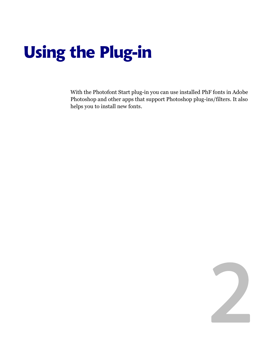# Using the Plug-in

With the Photofont Start plug-in you can use installed PhF fonts in Adobe Photoshop and other apps that support Photoshop plug-ins/filters. It also helps you to install new fonts.

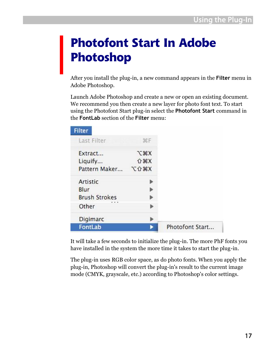## Photofont Start In Adobe Photoshop

After you install the plug-in, a new command appears in the **Filter** menu in Adobe Photoshop.

Launch Adobe Photoshop and create a new or open an existing document. We recommend you then create a new layer for photo font text. To start using the Photofont Start plug-in select the **Photofont Start** command in the **FontLab** section of the **Filter** menu:

| <b>Filter</b>        |                |                 |
|----------------------|----------------|-----------------|
| Last Filter          | 黑厂             |                 |
| Extract              | <b>T</b> *X    |                 |
| Liquify              | 0 <sup>2</sup> |                 |
| Pattern Maker        | <b>NH2</b>     |                 |
| Artistic             |                |                 |
| Blur                 |                |                 |
| <b>Brush Strokes</b> |                |                 |
| Other                |                |                 |
| Digimarc             |                |                 |
| <b>FontLab</b>       |                | Photofont Start |

It will take a few seconds to initialize the plug-in. The more PhF fonts you have installed in the system the more time it takes to start the plug-in.

The plug-in uses RGB color space, as do photo fonts. When you apply the plug-in, Photoshop will convert the plug-in's result to the current image mode (CMYK, grayscale, etc.) according to Photoshop's color settings.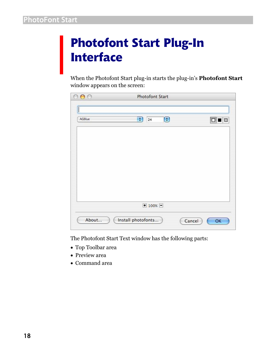## Photofont Start Plug-In Interface

When the Photofont Start plug-in starts the plug-in's **Photofont Start**  window appears on the screen:

| $\left[\bullet\right]$<br>$\ddot{\bullet}$<br>24 | ∎⊠ |
|--------------------------------------------------|----|
|                                                  |    |
|                                                  |    |
|                                                  |    |
|                                                  |    |
|                                                  |    |
| $\Box$ 100% $\Box$                               |    |
|                                                  |    |

The Photofont Start Text window has the following parts:

- Top Toolbar area
- Preview area
- Command area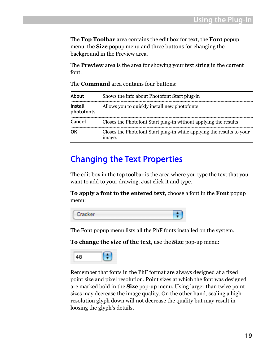The **Top Toolbar** area contains the edit box for text, the **Font** popup menu, the **Size** popup menu and three buttons for changing the background in the Preview area.

The **Preview** area is the area for showing your text string in the current font.

| <b>About</b>          | Shows the info about Photofont Start plug-in                                    |
|-----------------------|---------------------------------------------------------------------------------|
| Install<br>photofonts | Allows you to quickly install new photofonts                                    |
| Cancel                | Closes the Photofont Start plug-in without applying the results                 |
| ΩK                    | Closes the Photofont Start plug-in while applying the results to your<br>image. |

The **Command** area contains four buttons:

### Changing the Text Properties

The edit box in the top toolbar is the area where you type the text that you want to add to your drawing. Just click it and type.

**To apply a font to the entered text**, choose a font in the **Font** popup menu:



The Font popup menu lists all the PhF fonts installed on the system.

**To change the size of the text**, use the **Size** pop-up menu:



Remember that fonts in the PhF format are always designed at a fixed point size and pixel resolution. Point sizes at which the font was designed are marked bold in the **Size** pop-up menu. Using larger than twice point sizes may decrease the image quality. On the other hand, scaling a highresolution glyph down will not decrease the quality but may result in loosing the glyph's details.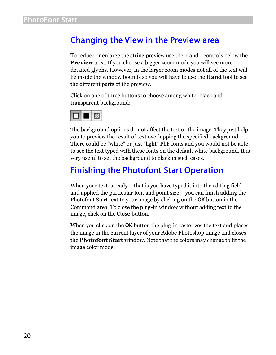### Changing the View in the Preview area

To reduce or enlarge the string preview use the + and - controls below the **Preview** area. If you choose a bigger zoom mode you will see more detailed glyphs. However, in the larger zoom modes not all of the text will lie inside the window bounds so you will have to use the **Hand** tool to see the different parts of the preview.

Click on one of three buttons to choose among white, black and transparent background:



The background options do not affect the text or the image. They just help you to preview the result of text overlapping the specified background. There could be "white" or just "light" PhF fonts and you would not be able to see the text typed with these fonts on the default white background. It is very useful to set the background to black in such cases.

## Finishing the Photofont Start Operation

When your text is ready – that is you have typed it into the editing field and applied the particular font and point size – you can finish adding the Photofont Start text to your image by clicking on the **OK** button in the Command area. To close the plug-in window without adding text to the image, click on the **Close** button.

When you click on the **OK** button the plug-in rasterizes the text and places the image in the current layer of your Adobe Photoshop image and closes the **Photofont Start** window. Note that the colors may change to fit the image color mode.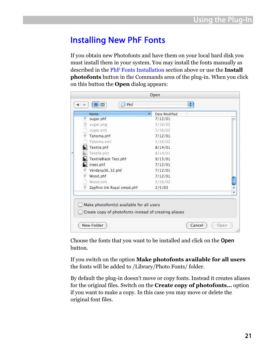### Installing New PhF Fonts

If you obtain new Photofonts and have them on your local hard disk you must install them in your system. You may install the fonts manually as described in the [PhF Fonts Installation](#page-12-0) section above or use the **Install photofonts** button in the Commands area of the plug-in. When you click on this button the **Open** dialog appears:

| Name                        | Date Modified |  |
|-----------------------------|---------------|--|
| sugar.phf                   | 7/12/01       |  |
| sugar, png                  | 5/16/02       |  |
| sugar.xml                   | 5/16/02       |  |
| Tahoma.phf                  | 7/12/01       |  |
| Tahoma.xml                  | 5/16/02       |  |
| Textile.phf<br>ñ.           | 8/14/01       |  |
| Textile.pict                | 8/14/01       |  |
| TextileBlack Test.phf<br>ñ. | 9/15/01       |  |
| trees.phf<br>r.             | 7/12/01       |  |
| Verdana36_32.phf            | 7/12/01       |  |
| Wood.phf                    | 7/12/01       |  |
| Wood.xml                    | 5/16/02       |  |
| Zapfino Ink Royal smod.phf  | 2/5/03        |  |
|                             |               |  |

Choose the fonts that you want to be installed and click on the **Open** button.

If you switch on the option **Make photofonts available for all users** the fonts will be added to /Library/Photo Fonts/ folder.

By default the plug-in doesn't move or copy fonts. Instead it creates aliases for the original files. Switch on the **Create copy of photofonts…** option if you want to make a copy. In this case you may move or delete the original font files.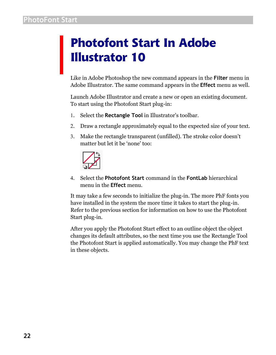## Photofont Start In Adobe Illustrator 10

Like in Adobe Photoshop the new command appears in the **Filter** menu in Adobe Illustrator. The same command appears in the **Effect** menu as well.

Launch Adobe Illustrator and create a new or open an existing document. To start using the Photofont Start plug-in:

- 1. Select the **Rectangle Tool** in Illustrator's toolbar.
- 2. Draw a rectangle approximately equal to the expected size of your text.
- 3. Make the rectangle transparent (unfilled). The stroke color doesn't matter but let it be 'none' too:



4. Select the **Photofont Start** command in the **FontLab** hierarchical menu in the **Effect** menu.

It may take a few seconds to initialize the plug-in. The more PhF fonts you have installed in the system the more time it takes to start the plug-in. Refer to the previous section for information on how to use the Photofont Start plug-in.

After you apply the Photofont Start effect to an outline object the object changes its default attributes, so the next time you use the Rectangle Tool the Photofont Start is applied automatically. You may change the PhF text in these objects.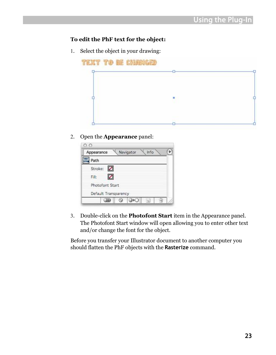#### **To edit the PhF text for the object:**

1. Select the object in your drawing:



2. Open the **Appearance** panel:



3. Double-click on the **Photofont Start** item in the Appearance panel. The Photofont Start window will open allowing you to enter other text and/or change the font for the object.

Before you transfer your Illustrator document to another computer you should flatten the PhF objects with the **Rasterize** command.